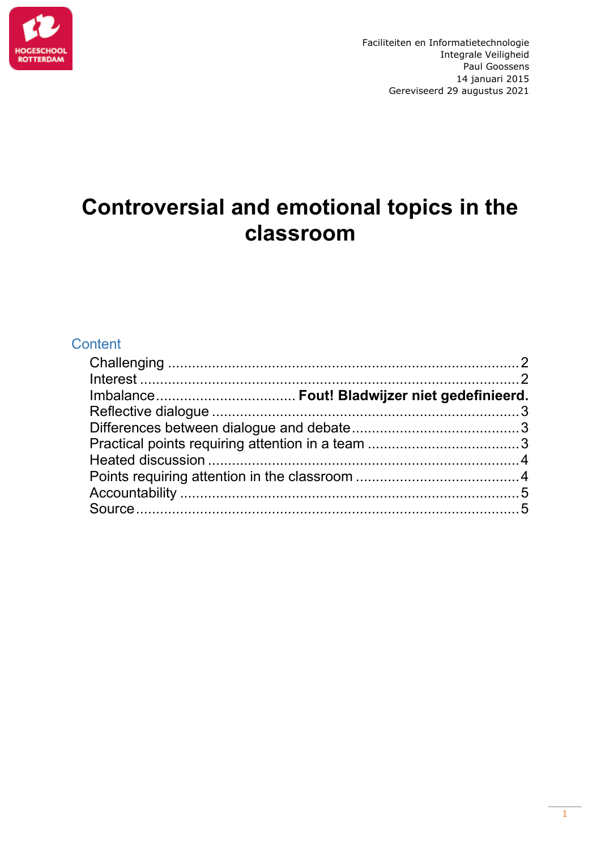

# **Controversial and emotional topics in the classroom**

# **Content**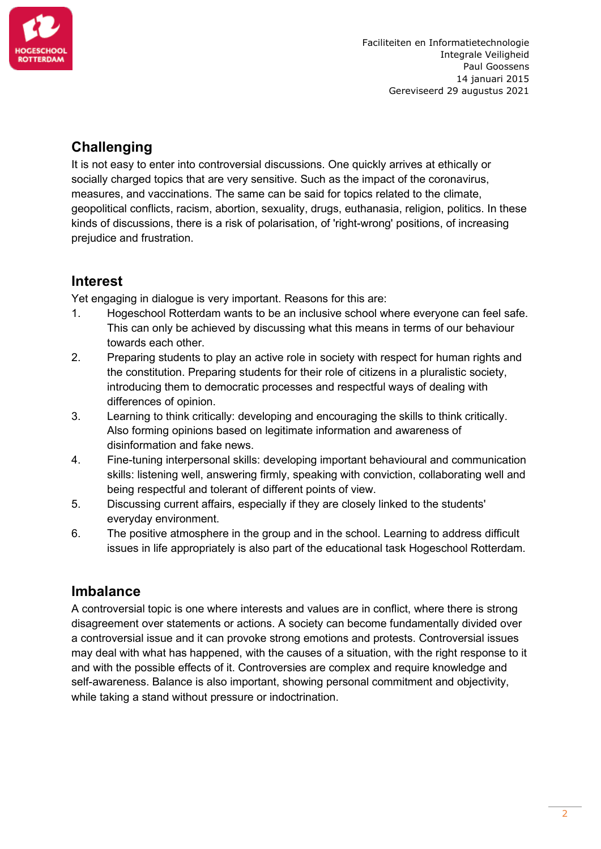

# <span id="page-1-0"></span>**Challenging**

It is not easy to enter into controversial discussions. One quickly arrives at ethically or socially charged topics that are very sensitive. Such as the impact of the coronavirus, measures, and vaccinations. The same can be said for topics related to the climate, geopolitical conflicts, racism, abortion, sexuality, drugs, euthanasia, religion, politics. In these kinds of discussions, there is a risk of polarisation, of 'right-wrong' positions, of increasing prejudice and frustration.

## <span id="page-1-1"></span>**Interest**

Yet engaging in dialogue is very important. Reasons for this are:

- 1. Hogeschool Rotterdam wants to be an inclusive school where everyone can feel safe. This can only be achieved by discussing what this means in terms of our behaviour towards each other.
- 2. Preparing students to play an active role in society with respect for human rights and the constitution. Preparing students for their role of citizens in a pluralistic society, introducing them to democratic processes and respectful ways of dealing with differences of opinion.
- 3. Learning to think critically: developing and encouraging the skills to think critically. Also forming opinions based on legitimate information and awareness of disinformation and fake news.
- 4. Fine-tuning interpersonal skills: developing important behavioural and communication skills: listening well, answering firmly, speaking with conviction, collaborating well and being respectful and tolerant of different points of view.
- 5. Discussing current affairs, especially if they are closely linked to the students' everyday environment.
- 6. The positive atmosphere in the group and in the school. Learning to address difficult issues in life appropriately is also part of the educational task Hogeschool Rotterdam.

#### **Imbalance**

A controversial topic is one where interests and values are in conflict, where there is strong disagreement over statements or actions. A society can become fundamentally divided over a controversial issue and it can provoke strong emotions and protests. Controversial issues may deal with what has happened, with the causes of a situation, with the right response to it and with the possible effects of it. Controversies are complex and require knowledge and self-awareness. Balance is also important, showing personal commitment and objectivity, while taking a stand without pressure or indoctrination.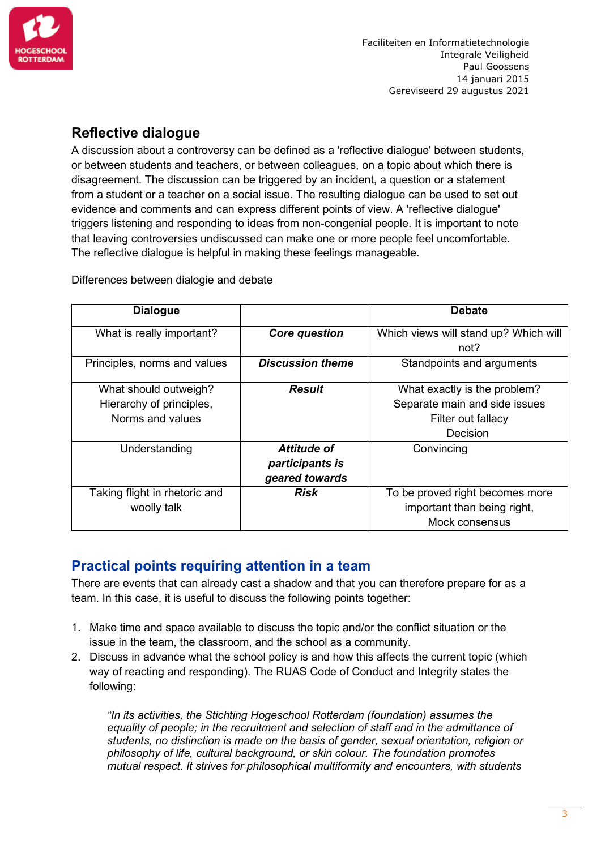

## <span id="page-2-0"></span>**Reflective dialogue**

A discussion about a controversy can be defined as a 'reflective dialogue' between students, or between students and teachers, or between colleagues, on a topic about which there is disagreement. The discussion can be triggered by an incident, a question or a statement from a student or a teacher on a social issue. The resulting dialogue can be used to set out evidence and comments and can express different points of view. A 'reflective dialogue' triggers listening and responding to ideas from non-congenial people. It is important to note that leaving controversies undiscussed can make one or more people feel uncomfortable. The reflective dialogue is helpful in making these feelings manageable.

<span id="page-2-1"></span>Differences between dialogie and debate

| <b>Dialogue</b>               |                         | <b>Debate</b>                         |
|-------------------------------|-------------------------|---------------------------------------|
| What is really important?     | <b>Core question</b>    | Which views will stand up? Which will |
|                               |                         | not?                                  |
| Principles, norms and values  | <b>Discussion theme</b> | Standpoints and arguments             |
|                               |                         |                                       |
| What should outweigh?         | <b>Result</b>           | What exactly is the problem?          |
| Hierarchy of principles,      |                         | Separate main and side issues         |
| Norms and values              |                         | Filter out fallacy                    |
|                               |                         | Decision                              |
| Understanding                 | <b>Attitude of</b>      | Convincing                            |
|                               | participants is         |                                       |
|                               | geared towards          |                                       |
| Taking flight in rhetoric and | <b>Risk</b>             | To be proved right becomes more       |
| woolly talk                   |                         | important than being right,           |
|                               |                         | Mock consensus                        |

#### <span id="page-2-2"></span>**Practical points requiring attention in a team**

There are events that can already cast a shadow and that you can therefore prepare for as a team. In this case, it is useful to discuss the following points together:

- 1. Make time and space available to discuss the topic and/or the conflict situation or the issue in the team, the classroom, and the school as a community.
- 2. Discuss in advance what the school policy is and how this affects the current topic (which way of reacting and responding). The RUAS Code of Conduct and Integrity states the following:

*"In its activities, the Stichting Hogeschool Rotterdam (foundation) assumes the equality of people; in the recruitment and selection of staff and in the admittance of students, no distinction is made on the basis of gender, sexual orientation, religion or philosophy of life, cultural background, or skin colour. The foundation promotes mutual respect. It strives for philosophical multiformity and encounters, with students*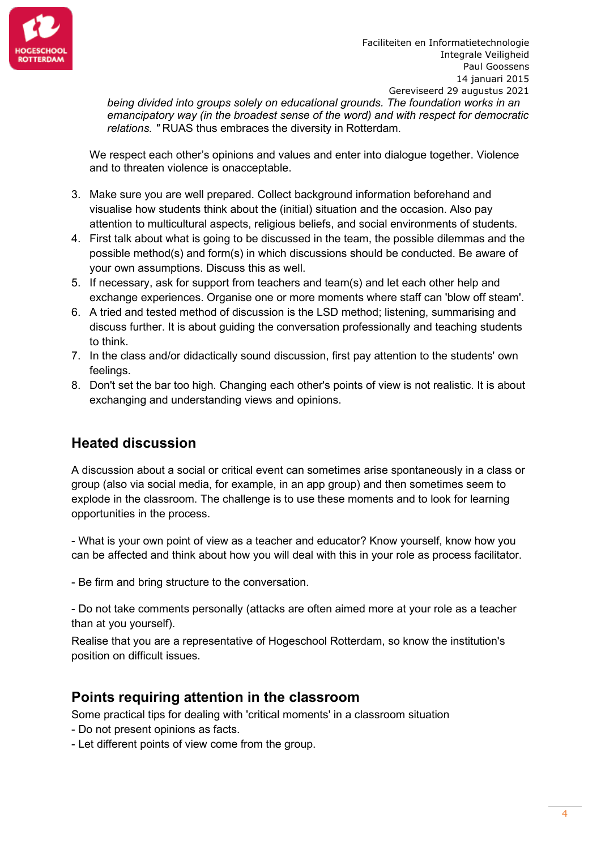

*being divided into groups solely on educational grounds. The foundation works in an emancipatory way (in the broadest sense of the word) and with respect for democratic relations. "* RUAS thus embraces the diversity in Rotterdam.

We respect each other's opinions and values and enter into dialogue together. Violence and to threaten violence is onacceptable.

- 3. Make sure you are well prepared. Collect background information beforehand and visualise how students think about the (initial) situation and the occasion. Also pay attention to multicultural aspects, religious beliefs, and social environments of students.
- 4. First talk about what is going to be discussed in the team, the possible dilemmas and the possible method(s) and form(s) in which discussions should be conducted. Be aware of your own assumptions. Discuss this as well.
- 5. If necessary, ask for support from teachers and team(s) and let each other help and exchange experiences. Organise one or more moments where staff can 'blow off steam'.
- 6. A tried and tested method of discussion is the LSD method; listening, summarising and discuss further. It is about guiding the conversation professionally and teaching students to think.
- 7. In the class and/or didactically sound discussion, first pay attention to the students' own feelings.
- 8. Don't set the bar too high. Changing each other's points of view is not realistic. It is about exchanging and understanding views and opinions.

#### <span id="page-3-0"></span>**Heated discussion**

A discussion about a social or critical event can sometimes arise spontaneously in a class or group (also via social media, for example, in an app group) and then sometimes seem to explode in the classroom. The challenge is to use these moments and to look for learning opportunities in the process.

- What is your own point of view as a teacher and educator? Know yourself, know how you can be affected and think about how you will deal with this in your role as process facilitator.

- Be firm and bring structure to the conversation.

- Do not take comments personally (attacks are often aimed more at your role as a teacher than at you yourself).

Realise that you are a representative of Hogeschool Rotterdam, so know the institution's position on difficult issues.

#### <span id="page-3-1"></span>**Points requiring attention in the classroom**

Some practical tips for dealing with 'critical moments' in a classroom situation

- Do not present opinions as facts.
- Let different points of view come from the group.